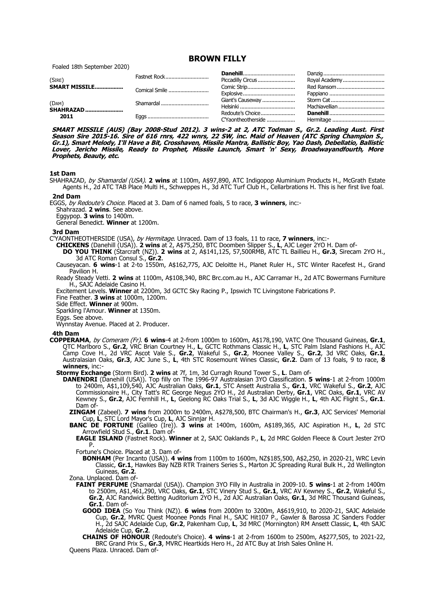**BROWN FILLY**

Foaled 18th September 2020)

| (SIRE)                            | Fastnet Rock | Piccadilly Circus | Royal Academy |
|-----------------------------------|--------------|-------------------|---------------|
|                                   |              |                   | Red Ransom    |
|                                   |              | Explosive         |               |
| (DAM)<br><b>SHAHRAZAD</b><br>2011 | Shamardal    | Giant's Causeway  |               |
|                                   |              |                   | Machiavellian |
|                                   |              | Redoute's Choice  |               |
|                                   |              |                   |               |

**SMART MISSILE (AUS) (Bay 2008-Stud 2012). 3 wins-2 at 2, ATC Todman S., Gr.2. Leading Aust. First Season Sire 2015-16. Sire of 616 rnrs, 422 wnrs, 22 SW, inc. Maid of Heaven (ATC Spring Champion S., Gr.1), Smart Melody, I'll Have a Bit, Crosshaven, Missile Mantra, Ballistic Boy, Yao Dash, Debellatio, Ballistic Lover, Jericho Missile, Ready to Prophet, Missile Launch, Smart 'n' Sexy, Broadwayandfourth, More Prophets, Beauty, etc.**

# **1st Dam**

SHAHRAZAD, by Shamardal (USA). **2 wins** at 1100m, A\$97,890, ATC Indigopop Aluminium Products H., McGrath Estate Agents H., 2d ATC TAB Place Multi H., Schweppes H., 3d ATC Turf Club H., Cellarbrations H. This is her first live foal.

# **2nd Dam**

EGGS, by Redoute's Choice. Placed at 3. Dam of 6 named foals, 5 to race, **3 winners**, inc:-

Shahrazad. 2 wins. See above.

Eggypop. **3 wins** to 1400m.

General Benedict. **Winner** at 1200m.

#### **3rd Dam**

C'YAONTHEOTHERSIDE (USA), by Hermitage. Unraced. Dam of 13 foals, 11 to race, **7 winners**, inc:-

**CHICKENS** (Danehill (USA)). **2 wins** at 2, A\$75,250, BTC Doomben Slipper S., **L**, AJC Leger 2YO H. Dam of-

**DO YOU THINK** (Starcraft (NZ)). **2 wins** at 2, A\$141,125, 57,500RMB, ATC TL Baillieu H., **Gr.3**, Sirecam 2YO H., 3d ATC Roman Consul S., **Gr.2**.

Causeyacan. **6 wins**-1 at 2-to 1550m, A\$162,775, AJC Deloitte H., Planet Ruler H., STC Winter Racefest H., Grand Pavilion H.

Ready Steady Vetti. **2 wins** at 1100m, A\$108,340, BRC Brc.com.au H., AJC Carramar H., 2d ATC Bowermans Furniture H., SAJC Adelaide Casino H.

Excitement Levels. **Winner** at 2200m, 3d GCTC Sky Racing P., Ipswich TC Livingstone Fabrications P.

Fine Feather. **3 wins** at 1000m, 1200m.

Side Effect. **Winner** at 900m.

Sparkling l'Amour. **Winner** at 1350m.

Eggs. See above.

Wynnstay Avenue. Placed at 2. Producer.

## **4th Dam**

**COPPERAMA**, by Comeram (Fr). **6 wins**-4 at 2-from 1000m to 1600m, A\$178,190, VATC One Thousand Guineas, **Gr.1**, QTC Marlboro S., **Gr.2**, VRC Brian Courtney H., **L**, GCTC Rothmans Classic H., **L**, STC Palm Island Fashions H., AJC Camp Cove H., 2d VRC Ascot Vale S., **Gr.2**, Wakeful S., **Gr.2**, Moonee Valley S., **Gr.2**, 3d VRC Oaks, **Gr.1**, Australasian Oaks, **Gr.3**, AJC June S., **L**, 4th STC Rosemount Wines Classic, **Gr.2**. Dam of 13 foals, 9 to race, **8 winners**, inc:-

**Stormy Exchange** (Storm Bird). **2 wins** at 7f, 1m, 3d Curragh Round Tower S., **L**. Dam of-

**DANENDRI** (Danehill (USA)). Top filly on The 1996-97 Australasian 3YO Classification. **5 wins**-1 at 2-from 1000m to 2400m, A\$1,109,540, AJC Australian Oaks, **Gr.1**, STC Ansett Australia S., **Gr.1**, VRC Wakeful S., **Gr.2**, AJC Commissionaire H., City Tatt's RC George Negus 2YO H., 2d Australian Derby, **Gr.1**, VRC Oaks, **Gr.1**, VRC AV Kewney S., **Gr.2**, AJC Fernhill H., **L**, Geelong RC Oaks Trial S., **L**, 3d AJC Wiggle H., **L**, 4th AJC Flight S., **Gr.1**. Dam of

**ZINGAM** (Zabeel). **7 wins** from 2000m to 2400m, A\$278,500, BTC Chairman's H., **Gr.3**, AJC Services' Memorial Cup, **L**, STC Lord Mayor's Cup, **L**, AJC Sinnjar H.

**BANC DE FORTUNE** (Galileo (Ire)). **3 wins** at 1400m, 1600m, A\$189,365, AJC Aspiration H., **L**, 2d STC Arrowfield Stud S., **Gr.1**. Dam of-

**EAGLE ISLAND** (Fastnet Rock). **Winner** at 2, SAJC Oaklands P., **L**, 2d MRC Golden Fleece & Court Jester 2YO P.

Fortune's Choice. Placed at 3. Dam of-

**BONHAM** (Per Incanto (USA)). **4 wins** from 1100m to 1600m, NZ\$185,500, A\$2,250, in 2020-21, WRC Levin Classic, **Gr.1**, Hawkes Bay NZB RTR Trainers Series S., Marton JC Spreading Rural Bulk H., 2d Wellington Guineas, **Gr.2**.

Zona. Unplaced. Dam of-

**FAINT PERFUME** (Shamardal (USA)). Champion 3YO Filly in Australia in 2009-10. **5 wins**-1 at 2-from 1400m to 2500m, A\$1,461,290, VRC Oaks, **Gr.1**, STC Vinery Stud S., **Gr.1**, VRC AV Kewney S., **Gr.2**, Wakeful S., **Gr.2**, AJC Randwick Betting Auditorium 2YO H., 2d AJC Australian Oaks, **Gr.1**, 3d MRC Thousand Guineas, **Gr.1**. Dam of-

**GOOD IDEA** (So You Think (NZ)). **6 wins** from 2000m to 3200m, A\$619,910, to 2020-21, SAJC Adelaide Cup, **Gr.2**, MVRC Quest Moonee Ponds Final H., SAJC Hit107 P., Gawler & Barossa JC Sanders Fodder H., 2d SAJC Adelaide Cup, **Gr.2**, Pakenham Cup, **L**, 3d MRC (Mornington) RM Ansett Classic, **L**, 4th SAJC Adelaide Cup, **Gr.2**.

**CHAINS OF HONOUR** (Redoute's Choice). **4 wins**-1 at 2-from 1600m to 2500m, A\$277,505, to 2021-22, BRC Grand Prix S., **Gr.3**, MVRC Heartkids Hero H., 2d ATC Buy at Irish Sales Online H.

Queens Plaza. Unraced. Dam of-